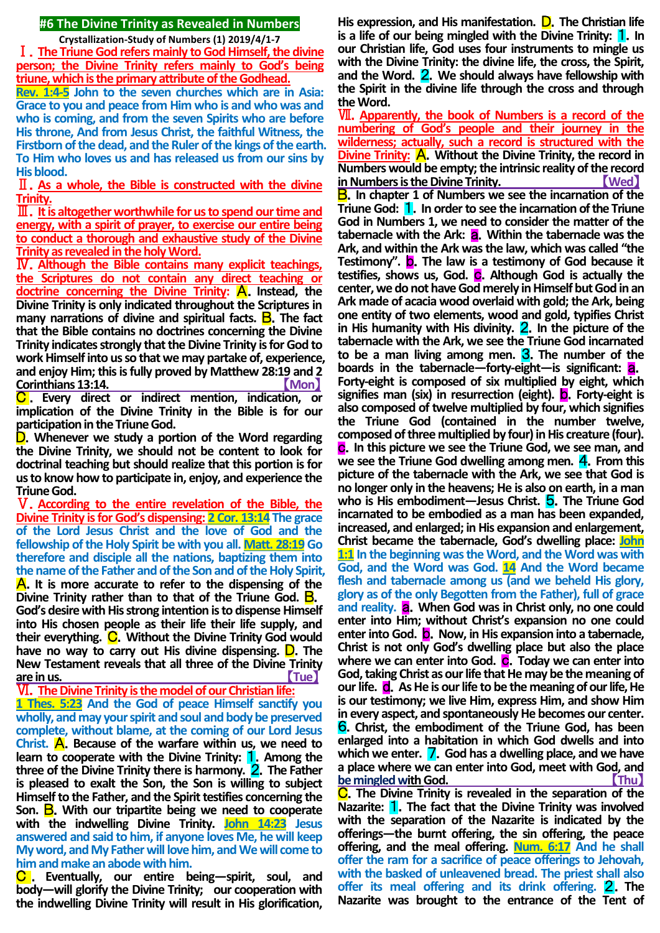## **#6 The Divine Trinity as Revealed in Numbers**

**Crystallization-Study of Numbers (1) 2019/4/1-7**

Ⅰ.**The Triune God refers mainly to God Himself, the divine person; the Divine Trinity refers mainly to God's being triune, which is the primary attribute of the Godhead.**

**Rev. 1:4-5 John to the seven churches which are in Asia: Grace to you and peace from Him who is and who was and who is coming, and from the seven Spirits who are before His throne, And from Jesus Christ, the faithful Witness, the Firstborn of the dead, and the Ruler of the kings of the earth. To Him who loves us and has released us from our sins by His blood.**

Ⅱ.**As a whole, the Bible is constructed with the divine Trinity.**

Ⅲ.**It is altogether worthwhile for us to spend our time and energy, with a spirit of prayer, to exercise our entire being to conduct a thorough and exhaustive study of the Divine Trinity as revealed in the holy Word.**

Ⅳ.**Although the Bible contains many explicit teachings, the Scriptures do not contain any direct teaching or doctrine concerning the Divine Trinity: A. Instead, the Divine Trinity is only indicated throughout the Scriptures in many narrations of divine and spiritual facts. <b>B**. The fact **that the Bible contains no doctrines concerning the Divine Trinity indicates strongly that the Divine Trinity is for God to work Himself into us so that we may partake of, experience, and enjoy Him; this is fully proved by Matthew 28:19 and 2 Corinthians 13:14.** 【**Mon**】

C . **Every direct or indirect mention, indication, or implication of the Divine Trinity in the Bible is for our participation in the Triune God.**

D.**Whenever we study a portion of the Word regarding the Divine Trinity, we should not be content to look for doctrinal teaching but should realize that this portion is for us to know how to participate in, enjoy, and experience the Triune God.**

Ⅴ.**According to the entire revelation of the Bible, the Divine Trinity is for God's dispensing: 2 Cor. 13:14 The grace of the Lord Jesus Christ and the love of God and the fellowship of the Holy Spirit be with you all. Matt. 28:19 Go therefore and disciple all the nations, baptizing them into the name of the Father and of the Son and of the Holy Spirit,**  A.**It is more accurate to refer to the dispensing of the Divine Trinity rather than to that of the Triune God.** B. **God's desire with His strong intention is to dispense Himself into His chosen people as their life their life supply, and their everything.** C.**Without the Divine Trinity God would have no way to carry out His divine dispensing.** D.**The New Testament reveals that all three of the Divine Trinity are in us.** 【**Tue**】

Ⅵ.**The Divine Trinity is the model of our Christian life: 1 Thes. 5:23 And the God of peace Himself sanctify you wholly, and may your spirit and soul and body be preserved complete, without blame, at the coming of our Lord Jesus Christ.** A.**Because of the warfare within us, we need to learn to cooperate with the Divine Trinity:** 1.**Among the three of the Divine Trinity there is harmony.** 2.**The Father is pleased to exalt the Son, the Son is willing to subject Himself to the Father, and the Spirit testifies concerning the**  Son. **B**. With our tripartite being we need to cooperate **with the indwelling Divine Trinity. John 14:23 Jesus answered and said to him, if anyone loves Me, he will keep My word, and My Father will love him, and We will come to him and make an abode with him.**

C . **Eventually, our entire being—spirit, soul, and body—will glorify the Divine Trinity; our cooperation with the indwelling Divine Trinity will result in His glorification,** 

**His expression, and His manifestation.** D.**The Christian life is a life of our being mingled with the Divine Trinity:** 1.**In our Christian life, God uses four instruments to mingle us with the Divine Trinity: the divine life, the cross, the Spirit, and the Word.** 2.**We should always have fellowship with the Spirit in the divine life through the cross and through the Word.**

Ⅶ.**Apparently, the book of Numbers is a record of the numbering of God's people and their journey in the wilderness; actually, such a record is structured with the Divine Trinity:** A.**Without the Divine Trinity, the record in Numbers would be empty; the intrinsic reality of the record in Numbers is the Divine Trinity.** 【**Wed**】

B.**In chapter 1 of Numbers we see the incarnation of the Triune God:** 1.**In order to see the incarnation of the Triune God in Numbers 1, we need to consider the matter of the**  tabernacle with the Ark: **a**. Within the tabernacle was the **Ark, and within the Ark was the law, which was called "the Testimony".** b.**The law is a testimony of God because it testifies, shows us, God.** c.**Although God is actually the center, we do not have God merely in Himself but God in an Ark made of acacia wood overlaid with gold; the Ark, being one entity of two elements, wood and gold, typifies Christ**  in His humanity with His divinity. **2**. In the picture of the **tabernacle with the Ark, we see the Triune God incarnated to be a man living among men.** 3.**The number of the boards in the tabernacle—forty-eight—is significant:** a. **Forty-eight is composed of six multiplied by eight, which signifies man (six) in resurrection (eight).** b.**Forty-eight is also composed of twelve multiplied by four, which signifies the Triune God (contained in the number twelve, composed of three multiplied by four) in His creature (four).**  c.**In this picture we see the Triune God, we see man, and**  we see the Triune God dwelling among men. 4. From this **picture of the tabernacle with the Ark, we see that God is no longer only in the heavens; He is also on earth, in a man who is His embodiment—Jesus Christ.** 5.**The Triune God incarnated to be embodied as a man has been expanded, increased, and enlarged; in His expansion and enlargement, Christ became the tabernacle, God's dwelling place: John 1:1 In the beginning was the Word, and the Word was with God, and the Word was God. 14 And the Word became flesh and tabernacle among us (and we beheld His glory, glory as of the only Begotten from the Father), full of grace**  and reality. **a.** When God was in Christ only, no one could **enter into Him; without Christ's expansion no one could enter into God.** b.**Now, in His expansion into a tabernacle, Christ is not only God's dwelling place but also the place**  where we can enter into God. **C**. Today we can enter into **God, taking Christ as our life that He may be the meaning of our life.** d.**As He is our life to be the meaning of our life, He is our testimony; we live Him, express Him, and show Him in every aspect, and spontaneously He becomes our center.**  6.**Christ, the embodiment of the Triune God, has been enlarged into a habitation in which God dwells and into which we enter.** 7.**God has a dwelling place, and we have a place where we can enter into God, meet with God, and be mingled with God.** 【**Thu**】 C.**The Divine Trinity is revealed in the separation of the Nazarite:** 1.**The fact that the Divine Trinity was involved with the separation of the Nazarite is indicated by the offerings—the burnt offering, the sin offering, the peace offering, and the meal offering. Num. 6:17 And he shall offer the ram for a sacrifice of peace offerings to Jehovah, with the basked of unleavened bread. The priest shall also** 

**offer its meal offering and its drink offering.** 2.**The Nazarite was brought to the entrance of the Tent of**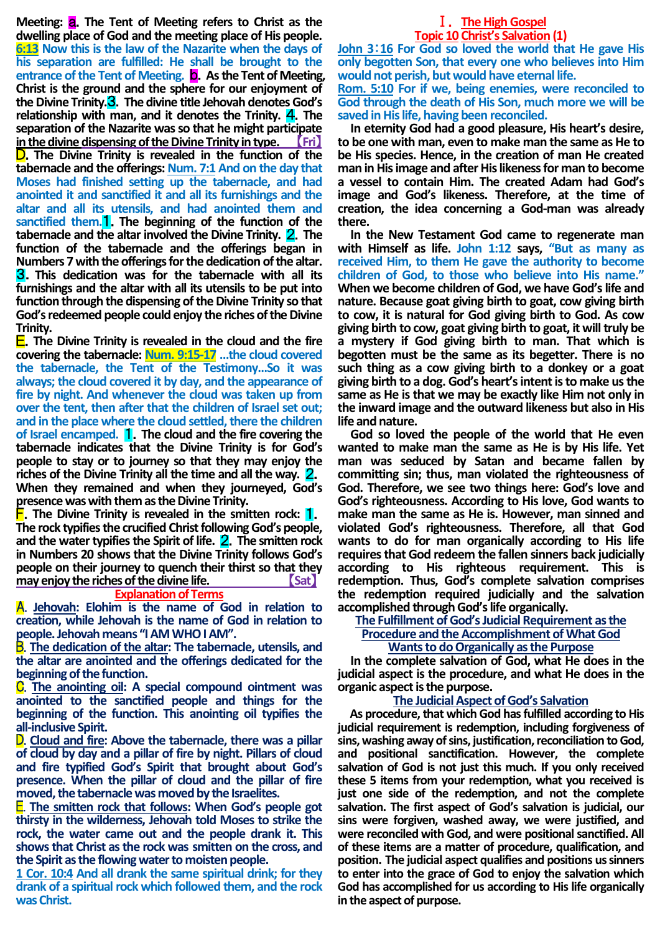**Meeting:** a.**The Tent of Meeting refers to Christ as the dwelling place of God and the meeting place of His people. 6:13 Now this is the law of the Nazarite when the days of his separation are fulfilled: He shall be brought to the entrance of the Tent of Meeting.** b.**As the Tent of Meeting, Christ is the ground and the sphere for our enjoyment of the Divine Trinity.**3.**The divine title Jehovah denotes God's relationship with man, and it denotes the Trinity.** 4.**The separation of the Nazarite was so that he might participate**  in the divine dispensing of the Divine Trinity in type. D.**The Divine Trinity is revealed in the function of the tabernacle and the offerings: Num. 7:1 And on the day that Moses had finished setting up the tabernacle, and had anointed it and sanctified it and all its furnishings and the altar and all its utensils, and had anointed them and sanctified them.**1.**The beginning of the function of the tabernacle and the altar involved the Divine Trinity.** 2.**The function of the tabernacle and the offerings began in Numbers 7 with the offerings for the dedication of the altar.** 3.**This dedication was for the tabernacle with all its furnishings and the altar with all its utensils to be put into function through the dispensing of the Divine Trinity so that God's redeemed people could enjoy the riches of the Divine Trinity.**

E.**The Divine Trinity is revealed in the cloud and the fire covering the tabernacle: Num. 9:15-17 …the cloud covered the tabernacle, the Tent of the Testimony…So it was always; the cloud covered it by day, and the appearance of fire by night. And whenever the cloud was taken up from over the tent, then after that the children of Israel set out; and in the place where the cloud settled, there the children of Israel encamped.** 1.**The cloud and the fire covering the tabernacle indicates that the Divine Trinity is for God's people to stay or to journey so that they may enjoy the riches of the Divine Trinity all the time and all the way.** 2. **When they remained and when they journeyed, God's presence was with them as the Divine Trinity.**

F.**The Divine Trinity is revealed in the smitten rock:** 1. **The rock typifies the crucified Christ following God's people, and the water typifies the Spirit of life.** 2.**The smitten rock in Numbers 20 shows that the Divine Trinity follows God's people on their journey to quench their thirst so that they may enjoy the riches of the divine life. Sat** 

#### **Explanation of Terms**

A. **Jehovah: Elohim is the name of God in relation to creation, while Jehovah is the name of God in relation to people. Jehovah means "IAM WHO I AM".**

B. **The dedication of the altar: The tabernacle, utensils, and the altar are anointed and the offerings dedicated for the beginning of the function.**

C. **The anointing oil: A special compound ointment was anointed to the sanctified people and things for the beginning of the function. This anointing oil typifies the all-inclusive Spirit.**

D. **Cloud and fire: Above the tabernacle, there was a pillar of cloud by day and a pillar of fire by night. Pillars of cloud and fire typified God's Spirit that brought about God's presence. When the pillar of cloud and the pillar of fire moved, the tabernacle was moved by the Israelites.**

E. **The smitten rock that follows: When God's people got thirsty in the wilderness, Jehovah told Moses to strike the rock, the water came out and the people drank it. This shows that Christ as the rock was smitten on the cross, and the Spirit as the flowing water to moisten people.**

**1 Cor. 10:4 And all drank the same spiritual drink; for they drank of a spiritual rock which followed them, and the rock was Christ.**

### Ⅰ.**The High Gospel Topic 10 Christ's Salvation (1)**

**John 3**:**16 For God so loved the world that He gave His only begotten Son, that every one who believes into Him would not perish, but would have eternal life. Rom. 5:10 For if we, being enemies, were reconciled to God through the death of His Son, much more we will be saved in His life, having been reconciled.**

**In eternity God had a good pleasure, His heart's desire, to be one with man, even to make man the same as He to be His species. Hence, in the creation of man He created man in His image and after His likeness for man to become a vessel to contain Him. The created Adam had God's image and God's likeness. Therefore, at the time of creation, the idea concerning a God-man was already there.**

**In the New Testament God came to regenerate man with Himself as life. John 1:12 says, "But as many as received Him, to them He gave the authority to become children of God, to those who believe into His name." When we become children of God, we have God's life and nature. Because goat giving birth to goat, cow giving birth to cow, it is natural for God giving birth to God. As cow giving birth to cow, goat giving birth to goat, it will truly be a mystery if God giving birth to man. That which is begotten must be the same as its begetter. There is no such thing as a cow giving birth to a donkey or a goat giving birth to a dog. God's heart's intent is to make us the same as He is that we may be exactly like Him not only in the inward image and the outward likeness but also in His life and nature.** 

**God so loved the people of the world that He even wanted to make man the same as He is by His life. Yet man was seduced by Satan and became fallen by committing sin; thus, man violated the righteousness of God. Therefore, we see two things here: God's love and God's righteousness. According to His love, God wants to make man the same as He is. However, man sinned and violated God's righteousness. Therefore, all that God wants to do for man organically according to His life requires that God redeem the fallen sinners back judicially according to His righteous requirement. This is redemption. Thus, God's complete salvation comprises the redemption required judicially and the salvation accomplished through God's life organically.**

### **The Fulfillment of God's Judicial Requirement as the Procedure and the Accomplishment of What God Wants to do Organically as the Purpose**

**In the complete salvation of God, what He does in the judicial aspect is the procedure, and what He does in the organic aspect is the purpose.**

# **The Judicial Aspect of God's Salvation**

**As procedure, that which God has fulfilled according to His judicial requirement is redemption, including forgiveness of sins, washing away of sins, justification, reconciliation to God, and positional sanctification. However, the complete salvation of God is not just this much. If you only received these 5 items from your redemption, what you received is just one side of the redemption, and not the complete salvation. The first aspect of God's salvation is judicial, our sins were forgiven, washed away, we were justified, and were reconciled with God, and were positional sanctified. All of these items are a matter of procedure, qualification, and position. The judicial aspect qualifies and positions us sinners to enter into the grace of God to enjoy the salvation which God has accomplished for us according to His life organically in the aspect of purpose.**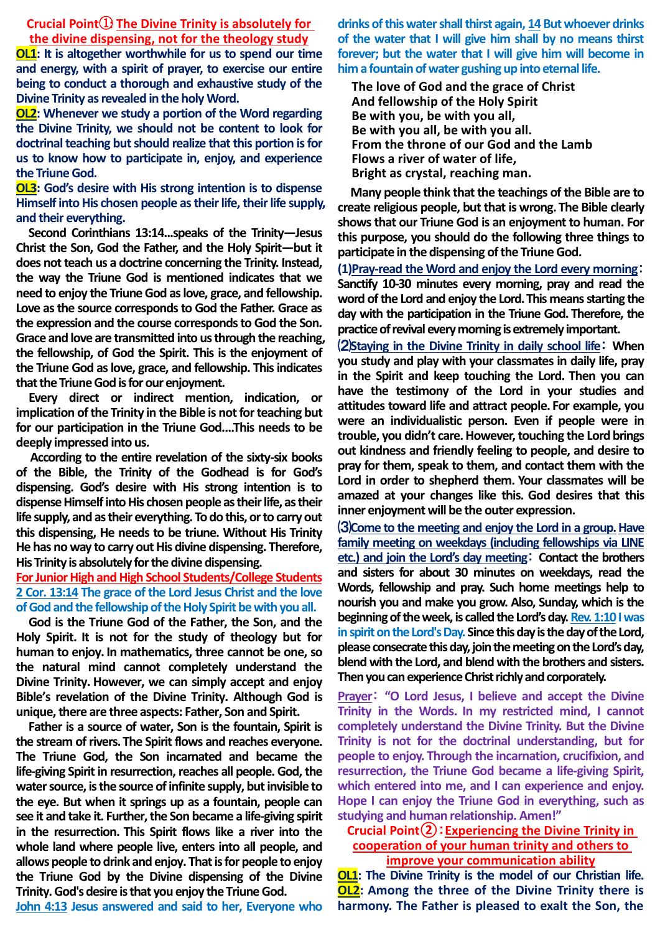**Crucial Point**①**: The Divine Trinity is absolutely for the divine dispensing, not for the theology study**

**OL1:** It is altogether worthwhile for us to spend our time **and energy, with a spirit of prayer, to exercise our entire being to conduct a thorough and exhaustive study of the Divine Trinity as revealed in the holy Word.**

**OL2: Whenever we study a portion of the Word regarding the Divine Trinity, we should not be content to look for doctrinal teaching but should realize that this portion is for us to know how to participate in, enjoy, and experience the Triune God.**

**OL3: God's desire with His strong intention is to dispense Himself into His chosen people as their life, their life supply, and their everything.**

**Second Corinthians 13:14...speaks of the Trinity—Jesus Christ the Son, God the Father, and the Holy Spirit—but it does not teach us a doctrine concerning the Trinity. Instead, the way the Triune God is mentioned indicates that we need to enjoy the Triune God as love, grace, and fellowship. Love as the source corresponds to God the Father. Grace as the expression and the course corresponds to God the Son. Grace and love are transmitted into us through the reaching, the fellowship, of God the Spirit. This is the enjoyment of the Triune God as love, grace, and fellowship. This indicates that the Triune God is for our enjoyment.**

**Every direct or indirect mention, indication, or implication of the Trinity in the Bible is not for teaching but for our participation in the Triune God....This needs to be deeply impressed into us.**

**According to the entire revelation of the sixty-six books of the Bible, the Trinity of the Godhead is for God's dispensing. God's desire with His strong intention is to dispense Himself into His chosen people as their life, as their life supply, and as their everything. To do this, or to carry out this dispensing, He needs to be triune. Without His Trinity He has no way to carry out His divine dispensing. Therefore, His Trinity is absolutely for the divine dispensing.**

**For Junior High and High School Students/College Students 2 Cor. 13:14 The grace of the Lord Jesus Christ and the love of God and the fellowship of the Holy Spirit be with you all.**

**God is the Triune God of the Father, the Son, and the Holy Spirit. It is not for the study of theology but for human to enjoy. In mathematics, three cannot be one, so the natural mind cannot completely understand the Divine Trinity. However, we can simply accept and enjoy Bible's revelation of the Divine Trinity. Although God is unique, there are three aspects: Father, Son and Spirit.**

**Father is a source of water, Son is the fountain, Spirit is the stream of rivers. The Spirit flows and reaches everyone. The Triune God, the Son incarnated and became the life-giving Spirit in resurrection, reaches all people. God, the water source, is the source of infinite supply, but invisible to the eye. But when it springs up as a fountain, people can see it and take it. Further, the Son became a life-giving spirit in the resurrection. This Spirit flows like a river into the whole land where people live, enters into all people, and allows people to drink and enjoy. That is for people to enjoy the Triune God by the Divine dispensing of the Divine Trinity. God's desire is that you enjoy the TriuneGod.**

**John 4:13 Jesus answered and said to her, Everyone who** 

**drinks of this water shall thirst again, 14 But whoever drinks of the water that I will give him shall by no means thirst forever; but the water that I will give him will become in him a fountain of water gushing up into eternal life.**

**The love of God and the grace of Christ And fellowship of the Holy Spirit Be with you, be with you all, Be with you all, be with you all. From the throne of our God and the Lamb Flows a river of water of life, Bright as crystal, reaching man.**

**Many people think that the teachings of the Bible are to create religious people, but that is wrong. The Bible clearly shows that our Triune God is an enjoyment to human. For this purpose, you should do the following three things to participate in the dispensing of the Triune God.**

**(1)Pray-read the Word and enjoy the Lord every morning**: **Sanctify 10-30 minutes every morning, pray and read the word of the Lord and enjoy the Lord.This means starting the day with the participation in the Triune God. Therefore, the practice of revival every morning is extremely important.**

⑵**Staying in the Divine Trinity in daily school life**: **When you study and play with your classmates in daily life, pray in the Spirit and keep touching the Lord. Then you can have the testimony of the Lord in your studies and attitudes toward life and attract people. For example, you were an individualistic person. Even if people were in trouble, you didn't care.However, touching the Lord brings out kindness and friendly feeling to people, and desire to pray for them, speak to them, and contact them with the Lord in order to shepherd them. Your classmates will be amazed at your changes like this. God desires that this inner enjoyment will be the outer expression.**

⑶**Come to the meeting and enjoy the Lord in a group.Have family meeting on weekdays (including fellowships via LINE etc.) and join the Lord's day meeting**: **Contact the brothers and sisters for about 30 minutes on weekdays, read the Words, fellowship and pray. Such home meetings help to nourish you and make you grow. Also, Sunday, which is the beginning of the week, is called the Lord's day. Rev. 1:10 I was in spirit on the Lord's Day. Since this day is the day of the Lord, please consecrate this day, join the meeting on the Lord's day, blend with the Lord, and blend with the brothers and sisters. Then you can experience Christ richly and corporately.**

**Prayer**: **"O Lord Jesus, I believe and accept the Divine Trinity in the Words. In my restricted mind, I cannot completely understand the Divine Trinity. But the Divine Trinity is not for the doctrinal understanding, but for people to enjoy. Through the incarnation, crucifixion, and resurrection, the Triune God became a life-giving Spirit, which entered into me, and I can experience and enjoy. Hope I can enjoy the Triune God in everything, such as studying and human relationship. Amen!"**

**Crucial Point②**:**Experiencing the Divine Trinity in cooperation of your human trinity and others to improve your communication ability**

**OL1: The Divine Trinity is the model of our Christian life. OL2: Among the three of the Divine Trinity there is harmony. The Father is pleased to exalt the Son, the**